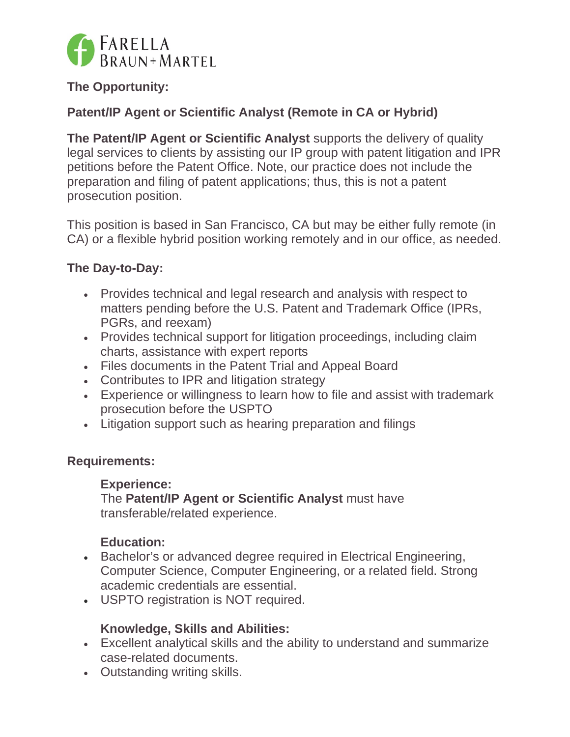

# **The Opportunity:**

# **Patent/IP Agent or Scientific Analyst (Remote in CA or Hybrid)**

**The Patent/IP Agent or Scientific Analyst** supports the delivery of quality legal services to clients by assisting our IP group with patent litigation and IPR petitions before the Patent Office. Note, our practice does not include the preparation and filing of patent applications; thus, this is not a patent prosecution position.

This position is based in San Francisco, CA but may be either fully remote (in CA) or a flexible hybrid position working remotely and in our office, as needed.

## **The Day-to-Day:**

- Provides technical and legal research and analysis with respect to matters pending before the U.S. Patent and Trademark Office (IPRs, PGRs, and reexam)
- Provides technical support for litigation proceedings, including claim charts, assistance with expert reports
- Files documents in the Patent Trial and Appeal Board
- Contributes to IPR and litigation strategy
- Experience or willingness to learn how to file and assist with trademark prosecution before the USPTO
- Litigation support such as hearing preparation and filings

### **Requirements:**

#### **Experience:**

The **Patent/IP Agent or Scientific Analyst** must have transferable/related experience.

### **Education:**

- Bachelor's or advanced degree required in Electrical Engineering, Computer Science, Computer Engineering, or a related field. Strong academic credentials are essential.
- USPTO registration is NOT required.

## **Knowledge, Skills and Abilities:**

- Excellent analytical skills and the ability to understand and summarize case-related documents.
- Outstanding writing skills.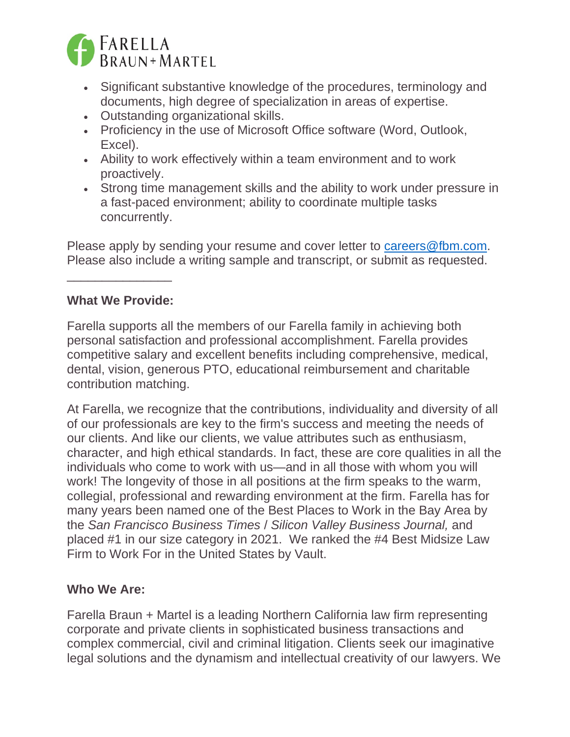

- Significant substantive knowledge of the procedures, terminology and documents, high degree of specialization in areas of expertise.
- Outstanding organizational skills.
- Proficiency in the use of Microsoft Office software (Word, Outlook, Excel).
- Ability to work effectively within a team environment and to work proactively.
- Strong time management skills and the ability to work under pressure in a fast-paced environment; ability to coordinate multiple tasks concurrently.

Please apply by sending your resume and cover letter to careers@fbm.com. Please also include a writing sample and transcript, or submit as requested.

## **What We Provide:**

\_\_\_\_\_\_\_\_\_\_\_\_\_\_\_

Farella supports all the members of our Farella family in achieving both personal satisfaction and professional accomplishment. Farella provides competitive salary and excellent benefits including comprehensive, medical, dental, vision, generous PTO, educational reimbursement and charitable contribution matching.

At Farella, we recognize that the contributions, individuality and diversity of all of our professionals are key to the firm's success and meeting the needs of our clients. And like our clients, we value attributes such as enthusiasm, character, and high ethical standards. In fact, these are core qualities in all the individuals who come to work with us—and in all those with whom you will work! The longevity of those in all positions at the firm speaks to the warm, collegial, professional and rewarding environment at the firm. Farella has for many years been named one of the Best Places to Work in the Bay Area by the *San Francisco Business Times* / *Silicon Valley Business Journal,* and placed #1 in our size category in 2021. We ranked the #4 Best Midsize Law Firm to Work For in the United States by Vault.

### **Who We Are:**

Farella Braun + Martel is a leading Northern California law firm representing corporate and private clients in sophisticated business transactions and complex commercial, civil and criminal litigation. Clients seek our imaginative legal solutions and the dynamism and intellectual creativity of our lawyers. We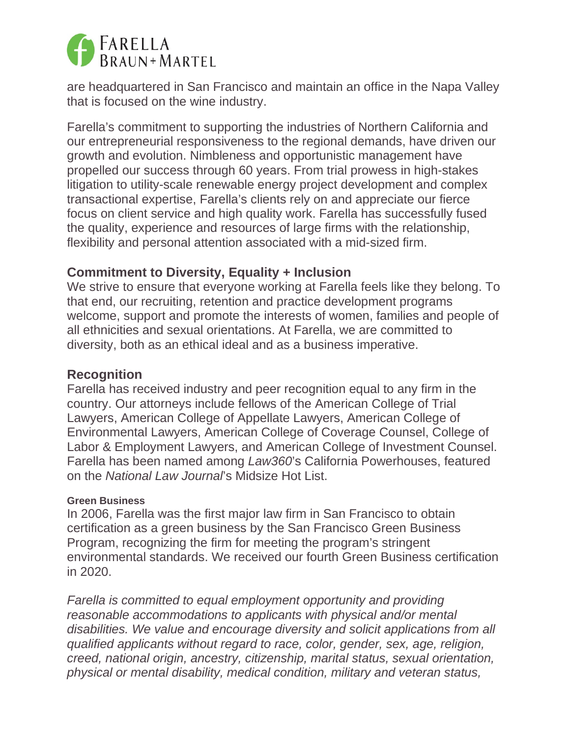

are headquartered in San Francisco and maintain an office in the Napa Valley that is focused on the wine industry.

Farella's commitment to supporting the industries of Northern California and our entrepreneurial responsiveness to the regional demands, have driven our growth and evolution. Nimbleness and opportunistic management have propelled our success through 60 years. From trial prowess in high-stakes litigation to utility-scale renewable energy project development and complex transactional expertise, Farella's clients rely on and appreciate our fierce focus on client service and high quality work. Farella has successfully fused the quality, experience and resources of large firms with the relationship, flexibility and personal attention associated with a mid-sized firm.

## **Commitment to Diversity, Equality + Inclusion**

We strive to ensure that everyone working at Farella feels like they belong. To that end, our recruiting, retention and practice development programs welcome, support and promote the interests of women, families and people of all ethnicities and sexual orientations. At Farella, we are committed to diversity, both as an ethical ideal and as a business imperative.

### **Recognition**

Farella has received industry and peer recognition equal to any firm in the country. Our attorneys include fellows of the American College of Trial Lawyers, American College of Appellate Lawyers, American College of Environmental Lawyers, American College of Coverage Counsel, College of Labor & Employment Lawyers, and American College of Investment Counsel. Farella has been named among *Law360*'s California Powerhouses, featured on the *National Law Journal*'s Midsize Hot List.

#### **Green Business**

In 2006, Farella was the first major law firm in San Francisco to obtain certification as a green business by the San Francisco Green Business Program, recognizing the firm for meeting the program's stringent environmental standards. We received our fourth Green Business certification in 2020.

*Farella is committed to equal employment opportunity and providing reasonable accommodations to applicants with physical and/or mental disabilities. We value and encourage diversity and solicit applications from all qualified applicants without regard to race, color, gender, sex, age, religion, creed, national origin, ancestry, citizenship, marital status, sexual orientation, physical or mental disability, medical condition, military and veteran status,*